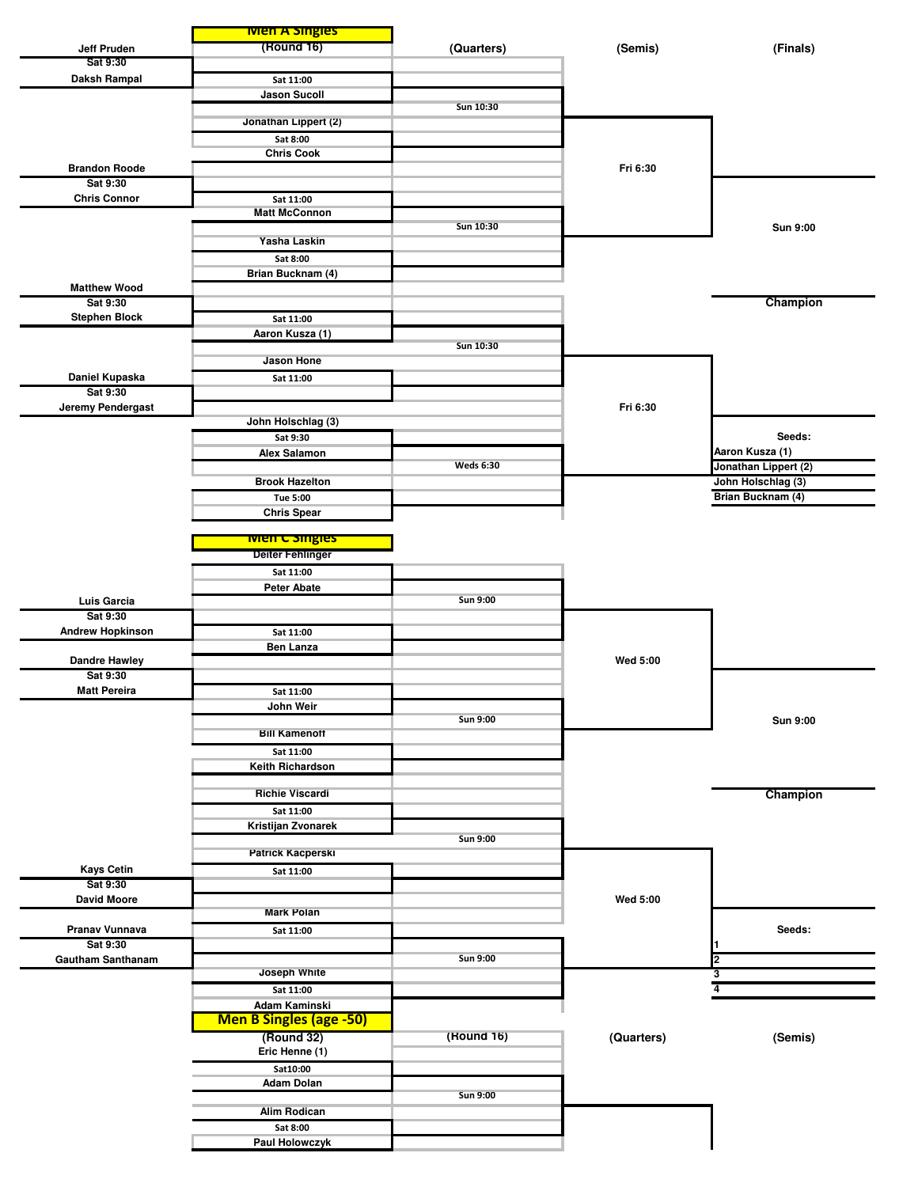|                                     | <b>Men A Singles</b>           |                  |            |                      |
|-------------------------------------|--------------------------------|------------------|------------|----------------------|
| Jeff Pruden                         | (Round 16)                     | (Quarters)       | (Semis)    | (Finals)             |
| Sat 9:30                            |                                |                  |            |                      |
| Daksh Rampal                        | Sat 11:00                      |                  |            |                      |
|                                     | <b>Jason Sucoll</b>            | Sun 10:30        |            |                      |
|                                     | Jonathan Lippert (2)           |                  |            |                      |
|                                     | Sat 8:00                       |                  |            |                      |
|                                     | <b>Chris Cook</b>              |                  |            |                      |
| <b>Brandon Roode</b>                |                                |                  | Fri 6:30   |                      |
| Sat 9:30                            |                                |                  |            |                      |
| <b>Chris Connor</b>                 | Sat 11:00                      |                  |            |                      |
|                                     | <b>Matt McConnon</b>           | Sun 10:30        |            | <b>Sun 9:00</b>      |
|                                     | Yasha Laskin                   |                  |            |                      |
|                                     | Sat 8:00                       |                  |            |                      |
|                                     | Brian Bucknam (4)              |                  |            |                      |
| <b>Matthew Wood</b>                 |                                |                  |            |                      |
| Sat 9:30                            |                                |                  |            | Champion             |
| <b>Stephen Block</b>                | Sat 11:00                      |                  |            |                      |
|                                     | Aaron Kusza (1)                |                  |            |                      |
|                                     | <b>Jason Hone</b>              | Sun 10:30        |            |                      |
| Daniel Kupaska                      | Sat 11:00                      |                  |            |                      |
| Sat 9:30                            |                                |                  |            |                      |
| Jeremy Pendergast                   |                                |                  | Fri 6:30   |                      |
|                                     | John Holschlag (3)             |                  |            |                      |
|                                     | Sat 9:30                       |                  |            | Seeds:               |
|                                     | <b>Alex Salamon</b>            |                  |            | Aaron Kusza (1)      |
|                                     |                                | <b>Weds 6:30</b> |            | Jonathan Lippert (2) |
|                                     | <b>Brook Hazelton</b>          |                  |            | John Holschlag (3)   |
|                                     | Tue 5:00                       |                  |            | Brian Bucknam (4)    |
|                                     | <b>Chris Spear</b>             |                  |            |                      |
|                                     | <b>Wien C Singles</b>          |                  |            |                      |
|                                     | <b>Deiter Fehlinger</b>        |                  |            |                      |
|                                     | Sat 11:00                      |                  |            |                      |
|                                     | <b>Peter Abate</b>             |                  |            |                      |
| Luis Garcia                         |                                | <b>Sun 9:00</b>  |            |                      |
| Sat 9:30<br><b>Andrew Hopkinson</b> | Sat 11:00                      |                  |            |                      |
|                                     | Ben Lanza                      |                  |            |                      |
| <b>Dandre Hawley</b>                |                                |                  | Wed 5:00   |                      |
| Sat 9:30                            |                                |                  |            |                      |
| <b>Matt Pereira</b>                 | Sat 11:00                      |                  |            |                      |
|                                     | John Weir                      |                  |            |                      |
|                                     | <b>Bill Kamenoff</b>           | <b>Sun 9:00</b>  |            | Sun 9:00             |
|                                     | Sat 11:00                      |                  |            |                      |
|                                     | Keith Richardson               |                  |            |                      |
|                                     |                                |                  |            |                      |
|                                     | <b>Richie Viscardi</b>         |                  |            | Champion             |
|                                     | Sat 11:00                      |                  |            |                      |
|                                     | Kristijan Zvonarek             |                  |            |                      |
|                                     |                                | Sun 9:00         |            |                      |
| <b>Kays Cetin</b>                   | <b>Patrick Kacperski</b>       |                  |            |                      |
| Sat 9:30                            | Sat 11:00                      |                  |            |                      |
| <b>David Moore</b>                  |                                |                  | Wed 5:00   |                      |
|                                     | <b>Mark Polan</b>              |                  |            |                      |
| Pranav Vunnava                      | Sat 11:00                      |                  |            | Seeds:               |
| Sat 9:30                            |                                |                  |            |                      |
| <b>Gautham Santhanam</b>            | Joseph White                   | Sun 9:00         |            | $\overline{2}$       |
|                                     |                                |                  |            | 3<br>4               |
|                                     | Sat 11:00<br>Adam Kaminski     |                  |            |                      |
|                                     | <b>Men B Singles (age -50)</b> |                  |            |                      |
|                                     | (Round 32)                     | (Round 16)       | (Quarters) | (Semis)              |
|                                     | Eric Henne (1)                 |                  |            |                      |
|                                     | Sat10:00                       |                  |            |                      |
|                                     | <b>Adam Dolan</b>              |                  |            |                      |
|                                     |                                | <b>Sun 9:00</b>  |            |                      |
|                                     | <b>Alim Rodican</b>            |                  |            |                      |
|                                     | Sat 8:00                       |                  |            |                      |
|                                     | Paul Holowczyk                 |                  |            |                      |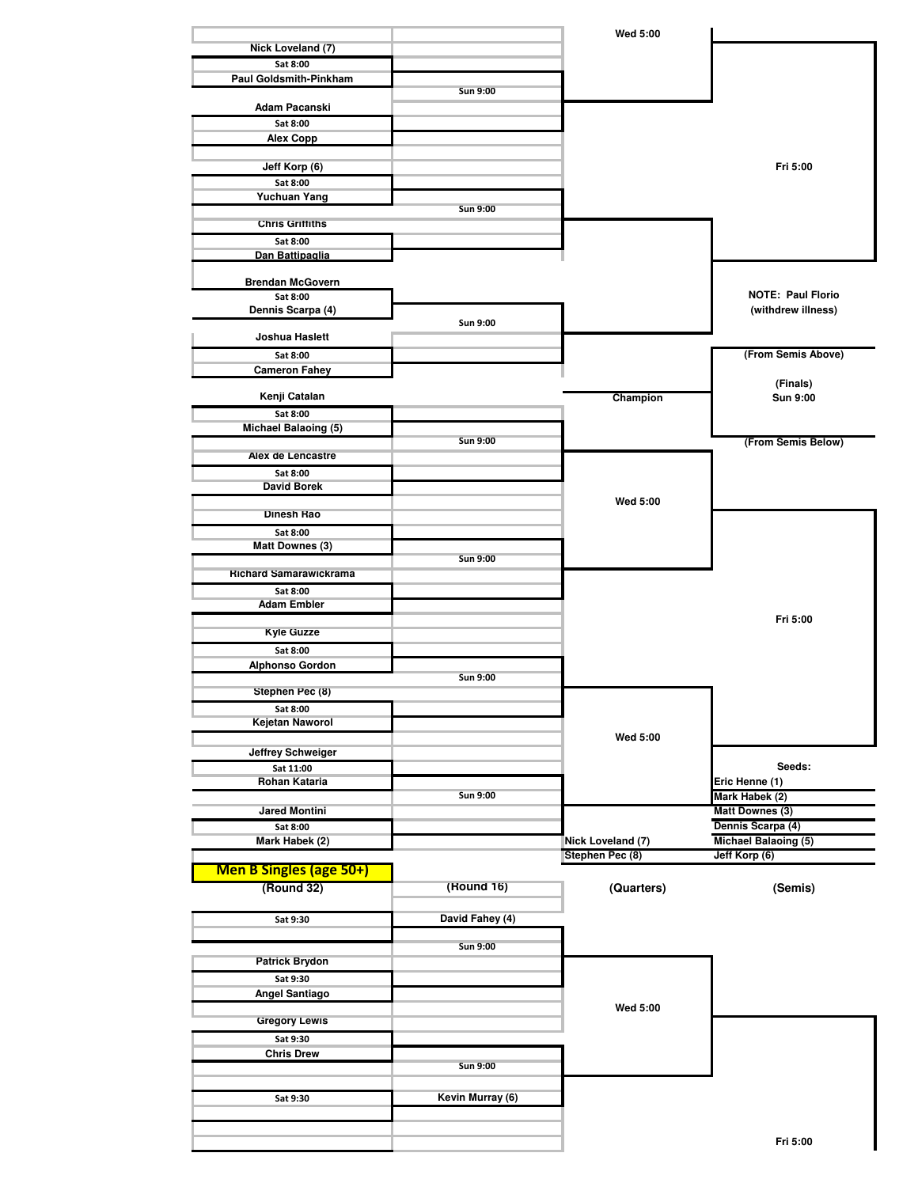|                                    |                  | <b>Wed 5:00</b>   |                                  |
|------------------------------------|------------------|-------------------|----------------------------------|
| Nick Loveland (7)                  |                  |                   |                                  |
| Sat 8:00<br>Paul Goldsmith-Pinkham |                  |                   |                                  |
|                                    | Sun 9:00         |                   |                                  |
| Adam Pacanski                      |                  |                   |                                  |
| Sat 8:00<br><b>Alex Copp</b>       |                  |                   |                                  |
|                                    |                  |                   |                                  |
| Jeff Korp (6)                      |                  |                   | Fri 5:00                         |
| Sat 8:00                           |                  |                   |                                  |
| <b>Yuchuan Yang</b>                | <b>Sun 9:00</b>  |                   |                                  |
| <b>Chris Grittiths</b>             |                  |                   |                                  |
| Sat 8:00                           |                  |                   |                                  |
| Dan Battipaglia                    |                  |                   |                                  |
| <b>Brendan McGovern</b>            |                  |                   |                                  |
| Sat 8:00                           |                  |                   | <b>NOTE: Paul Florio</b>         |
| Dennis Scarpa (4)                  | Sun 9:00         |                   | (withdrew illness)               |
| Joshua Haslett                     |                  |                   |                                  |
| Sat 8:00                           |                  |                   | (From Semis Above)               |
| <b>Cameron Fahey</b>               |                  |                   |                                  |
| Kenji Catalan                      |                  | Champion          | (Finals)<br>Sun 9:00             |
| Sat 8:00                           |                  |                   |                                  |
| <b>Michael Balaoing (5)</b>        |                  |                   |                                  |
| Alex de Lencastre                  | <b>Sun 9:00</b>  |                   | (From Semis Below)               |
| Sat 8:00                           |                  |                   |                                  |
| <b>David Borek</b>                 |                  |                   |                                  |
|                                    |                  | <b>Wed 5:00</b>   |                                  |
| Dinesh Rao<br>Sat 8:00             |                  |                   |                                  |
| <b>Matt Downes (3)</b>             |                  |                   |                                  |
|                                    | <b>Sun 9:00</b>  |                   |                                  |
| <b>Richard Samarawickrama</b>      |                  |                   |                                  |
| Sat 8:00<br><b>Adam Embler</b>     |                  |                   |                                  |
|                                    |                  |                   | Fri 5:00                         |
| <b>Kyle Guzze</b>                  |                  |                   |                                  |
| Sat 8:00                           |                  |                   |                                  |
| <b>Alphonso Gordon</b>             | <b>Sun 9:00</b>  |                   |                                  |
| Stephen Pec (8)                    |                  |                   |                                  |
| Sat 8:00                           |                  |                   |                                  |
| Kejetan Naworol                    |                  | <b>Wed 5:00</b>   |                                  |
| <b>Jeffrey Schweiger</b>           |                  |                   |                                  |
| Sat 11:00                          |                  |                   | Seeds:                           |
| Rohan Kataria                      | Sun 9:00         |                   | Eric Henne (1)<br>Mark Habek (2) |
| <b>Jared Montini</b>               |                  |                   | <b>Matt Downes (3)</b>           |
| Sat 8:00                           |                  |                   | Dennis Scarpa (4)                |
| Mark Habek (2)                     |                  | Nick Loveland (7) | <b>Michael Balaoing (5)</b>      |
| Men B Singles (age 50+)            |                  | Stephen Pec (8)   | Jeff Korp (6)                    |
| (Round 32)                         | (Round 16)       | (Quarters)        | (Semis)                          |
|                                    |                  |                   |                                  |
| Sat 9:30                           | David Fahey (4)  |                   |                                  |
|                                    |                  |                   |                                  |
| <b>Patrick Brydon</b>              | <b>Sun 9:00</b>  |                   |                                  |
| Sat 9:30                           |                  |                   |                                  |
| Angel Santiago                     |                  |                   |                                  |
|                                    |                  | <b>Wed 5:00</b>   |                                  |
| <b>Gregory Lewis</b>               |                  |                   |                                  |
| Sat 9:30<br><b>Chris Drew</b>      |                  |                   |                                  |
|                                    | <b>Sun 9:00</b>  |                   |                                  |
|                                    |                  |                   |                                  |
| Sat 9:30                           | Kevin Murray (6) |                   |                                  |
|                                    |                  |                   |                                  |
|                                    |                  |                   | Fri 5:00                         |
|                                    |                  |                   |                                  |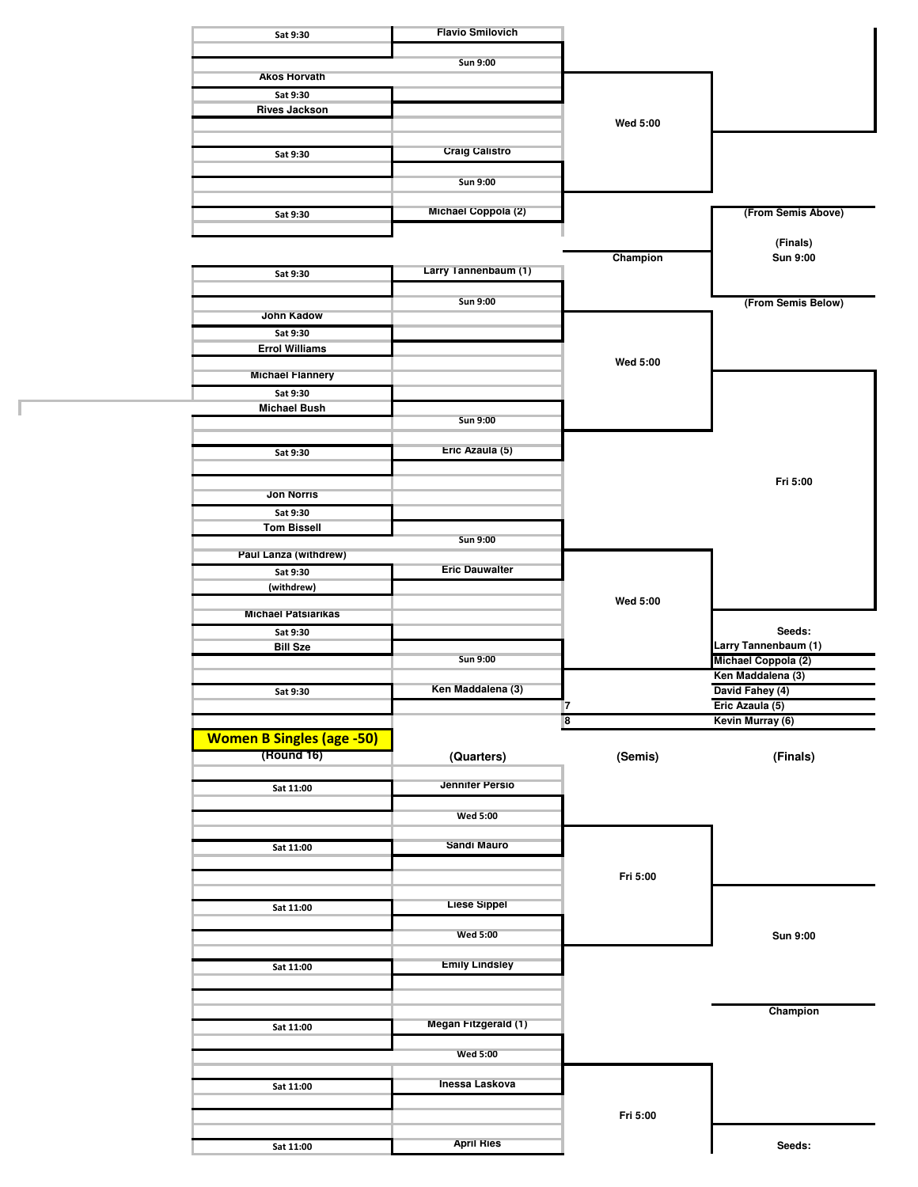| Sat 9:30                         | <b>Flavio Smilovich</b> |                              |                                    |
|----------------------------------|-------------------------|------------------------------|------------------------------------|
|                                  | <b>Sun 9:00</b>         |                              |                                    |
| <b>Akos Horvath</b>              |                         |                              |                                    |
| Sat 9:30                         |                         |                              |                                    |
| <b>Rives Jackson</b>             |                         |                              |                                    |
|                                  |                         | Wed 5:00                     |                                    |
| Sat 9:30                         | <b>Craig Calistro</b>   |                              |                                    |
|                                  |                         |                              |                                    |
|                                  | Sun 9:00                |                              |                                    |
| Sat 9:30                         | Michael Coppola (2)     |                              | (From Semis Above)                 |
|                                  |                         |                              |                                    |
|                                  |                         | Champion                     | (Finals)<br>Sun 9:00               |
| Sat 9:30                         | Larry Tannenbaum (1)    |                              |                                    |
|                                  |                         |                              |                                    |
|                                  | Sun 9:00                |                              | (From Semis Below)                 |
| <b>John Kadow</b><br>Sat 9:30    |                         |                              |                                    |
| <b>Errol Williams</b>            |                         |                              |                                    |
|                                  |                         | <b>Wed 5:00</b>              |                                    |
| <b>Michael Flannery</b>          |                         |                              |                                    |
| Sat 9:30<br><b>Michael Bush</b>  |                         |                              |                                    |
|                                  | <b>Sun 9:00</b>         |                              |                                    |
|                                  |                         |                              |                                    |
| Sat 9:30                         | Eric Azaula (5)         |                              |                                    |
|                                  |                         |                              | Fri 5:00                           |
| <b>Jon Norris</b>                |                         |                              |                                    |
| Sat 9:30                         |                         |                              |                                    |
| <b>Tom Bissell</b>               |                         |                              |                                    |
| Paul Lanza (withdrew)            | <b>Sun 9:00</b>         |                              |                                    |
| Sat 9:30                         | <b>Eric Dauwalter</b>   |                              |                                    |
| (withdrew)                       |                         |                              |                                    |
|                                  |                         | Wed 5:00                     |                                    |
| <b>Michael Patsiarikas</b>       |                         |                              | Seeds:                             |
| Sat 9:30<br><b>Bill Sze</b>      |                         |                              | Larry Tannenbaum (1)               |
|                                  | <b>Sun 9:00</b>         |                              | Michael Coppola (2)                |
|                                  |                         |                              | Ken Maddalena (3)                  |
| Sat 9:30                         | Ken Maddalena (3)       |                              | David Fahey (4)<br>Eric Azaula (5) |
|                                  |                         | 7<br>$\overline{\mathbf{8}}$ | Kevin Murray (6)                   |
| <b>Women B Singles (age -50)</b> |                         |                              |                                    |
| (Round 16)                       | (Quarters)              | (Semis)                      | (Finals)                           |
|                                  |                         |                              |                                    |
| Sat 11:00                        | <b>Jennifer Persio</b>  |                              |                                    |
|                                  | <b>Wed 5:00</b>         |                              |                                    |
|                                  |                         |                              |                                    |
| Sat 11:00                        | Sandi Mauro             |                              |                                    |
|                                  |                         |                              |                                    |
|                                  |                         | Fri 5:00                     |                                    |
| Sat 11:00                        | <b>Liese Sippel</b>     |                              |                                    |
|                                  |                         |                              |                                    |
|                                  | <b>Wed 5:00</b>         |                              | Sun 9:00                           |
| Sat 11:00                        | <b>Emily Lindsley</b>   |                              |                                    |
|                                  |                         |                              |                                    |
|                                  |                         |                              |                                    |
|                                  | Megan Fitzgerald (1)    |                              | Champion                           |
| Sat 11:00                        |                         |                              |                                    |
|                                  |                         |                              |                                    |
|                                  | <b>Wed 5:00</b>         |                              |                                    |
|                                  |                         |                              |                                    |
| Sat 11:00                        | Inessa Laskova          |                              |                                    |
|                                  |                         |                              |                                    |
|                                  | <b>April Ries</b>       | Fri 5:00                     |                                    |

Г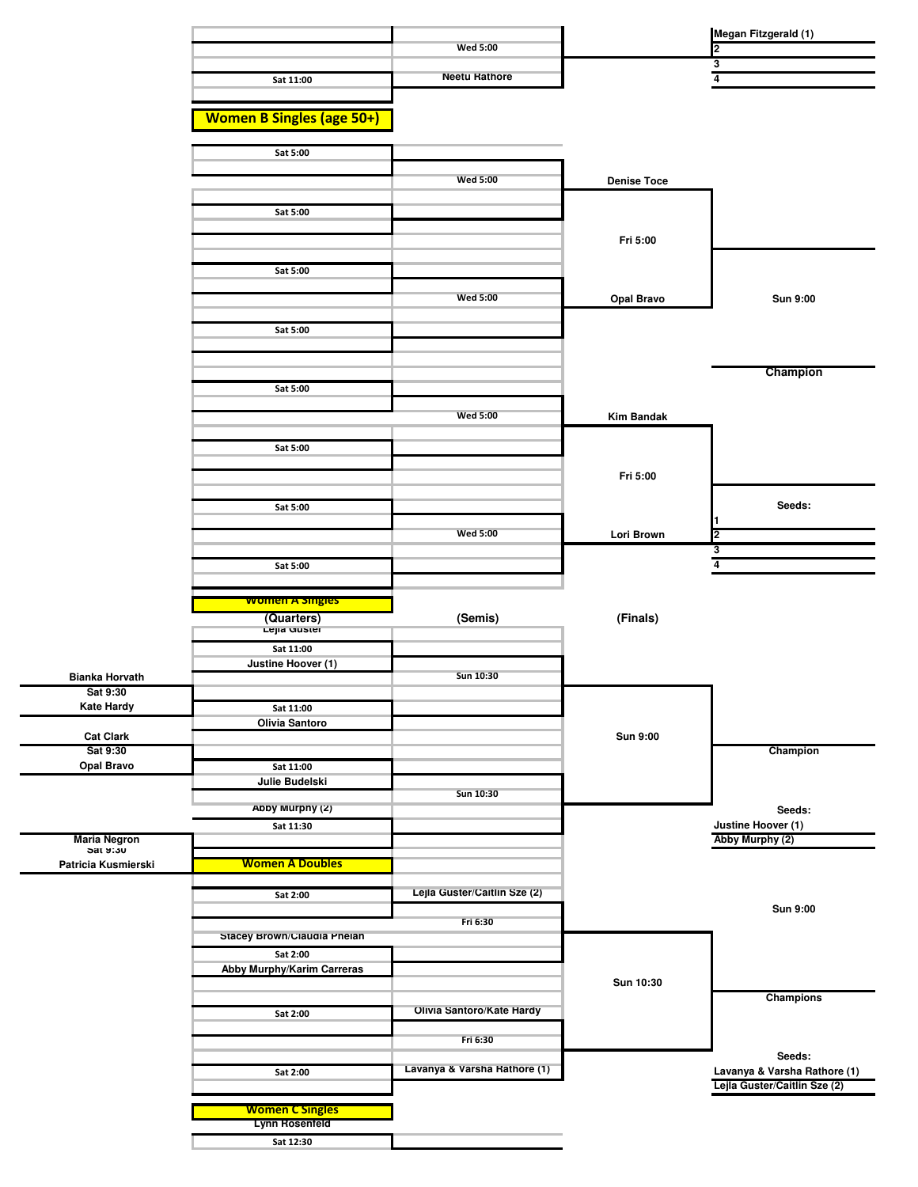|                                   |                                        |                              |                    | Megan Fitzgerald (1)                                         |
|-----------------------------------|----------------------------------------|------------------------------|--------------------|--------------------------------------------------------------|
|                                   |                                        | <b>Wed 5:00</b>              |                    | 2                                                            |
|                                   | Sat 11:00                              | <b>Neetu Rathore</b>         |                    | 3<br>$\overline{4}$                                          |
|                                   |                                        |                              |                    |                                                              |
|                                   | <b>Women B Singles (age 50+)</b>       |                              |                    |                                                              |
|                                   | Sat 5:00                               |                              |                    |                                                              |
|                                   |                                        |                              |                    |                                                              |
|                                   |                                        | <b>Wed 5:00</b>              | <b>Denise Toce</b> |                                                              |
|                                   | Sat 5:00                               |                              |                    |                                                              |
|                                   |                                        |                              | Fri 5:00           |                                                              |
|                                   |                                        |                              |                    |                                                              |
|                                   | Sat 5:00                               |                              |                    |                                                              |
|                                   |                                        | <b>Wed 5:00</b>              | <b>Opal Bravo</b>  | Sun 9:00                                                     |
|                                   | Sat 5:00                               |                              |                    |                                                              |
|                                   |                                        |                              |                    |                                                              |
|                                   |                                        |                              |                    | Champion                                                     |
|                                   | Sat 5:00                               |                              |                    |                                                              |
|                                   |                                        | <b>Wed 5:00</b>              | <b>Kim Bandak</b>  |                                                              |
|                                   | Sat 5:00                               |                              |                    |                                                              |
|                                   |                                        |                              |                    |                                                              |
|                                   |                                        |                              | Fri 5:00           |                                                              |
|                                   | Sat 5:00                               |                              |                    | Seeds:                                                       |
|                                   |                                        | <b>Wed 5:00</b>              | Lori Brown         | 2                                                            |
|                                   |                                        |                              |                    | 3<br>4                                                       |
|                                   | Sat 5:00                               |                              |                    |                                                              |
|                                   |                                        |                              |                    |                                                              |
|                                   | <b>women A singles</b>                 |                              |                    |                                                              |
|                                   | (Quarters)                             | (Semis)                      | (Finals)           |                                                              |
|                                   | Lejia Guster<br>Sat 11:00              |                              |                    |                                                              |
|                                   | Justine Hoover (1)                     | Sun 10:30                    |                    |                                                              |
| <b>Bianka Horvath</b><br>Sat 9:30 |                                        |                              |                    |                                                              |
| <b>Kate Hardy</b>                 | Sat 11:00                              |                              |                    |                                                              |
| <b>Cat Clark</b>                  | Olivia Santoro                         |                              | <b>Sun 9:00</b>    |                                                              |
| Sat 9:30<br><b>Opal Bravo</b>     | Sat 11:00                              |                              |                    | Champion                                                     |
|                                   | Julie Budelski                         |                              |                    |                                                              |
|                                   | Abby Murphy (2)                        | Sun 10:30                    |                    | Seeds:                                                       |
|                                   | Sat 11:30                              |                              |                    | Justine Hoover (1)                                           |
| <b>Maria Negron</b><br>ວat ນ:ວັບ  |                                        |                              |                    | Abby Murphy (2)                                              |
| Patricia Kusmierski               | <b>Women A Doubles</b>                 |                              |                    |                                                              |
|                                   | Sat 2:00                               | Lejla Guster/Caitlin Sze (2) |                    |                                                              |
|                                   |                                        | Fri 6:30                     |                    | Sun 9:00                                                     |
|                                   | Stacey Brown/Claudia Phelan            |                              |                    |                                                              |
|                                   | Sat 2:00<br>Abby Murphy/Karim Carreras |                              |                    |                                                              |
|                                   |                                        |                              | Sun 10:30          | Champions                                                    |
|                                   | Sat 2:00                               | Olivia Santoro/Kate Hardy    |                    |                                                              |
|                                   |                                        | Fri 6:30                     |                    |                                                              |
|                                   |                                        |                              |                    | Seeds:                                                       |
|                                   | Sat 2:00                               | Lavanya & Varsha Rathore (1) |                    | Lavanya & Varsha Rathore (1)<br>Lejla Guster/Caitlin Sze (2) |
|                                   | <b>Women C Singles</b>                 |                              |                    |                                                              |
|                                   | Lynn Rosenfeld<br>Sat 12:30            |                              |                    |                                                              |

<u>—</u>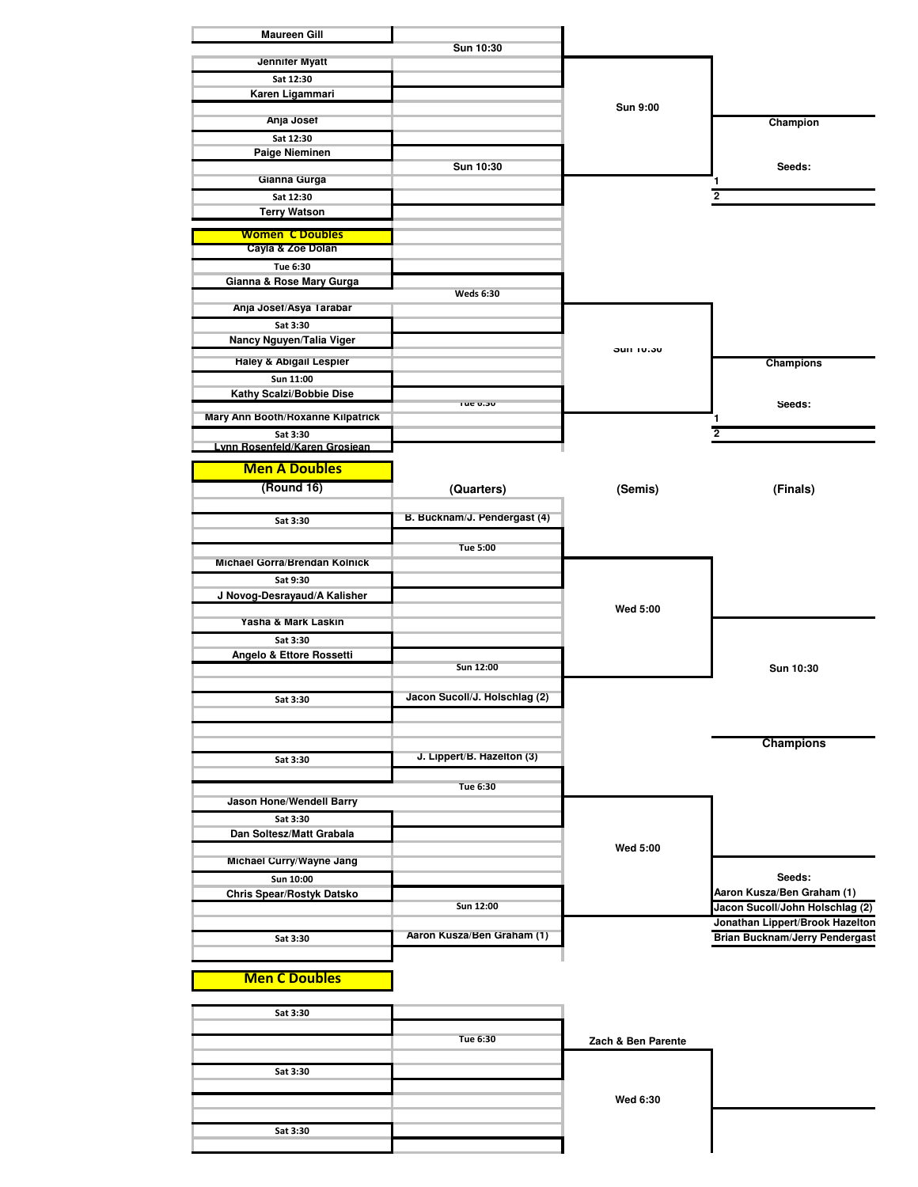| <b>Maureen Gill</b>                           | Sun 10:30                     |                    |                                       |
|-----------------------------------------------|-------------------------------|--------------------|---------------------------------------|
| Jennifer Myatt                                |                               |                    |                                       |
| Sat 12:30                                     |                               |                    |                                       |
| Karen Ligammari                               |                               |                    |                                       |
| Anja Josef                                    |                               | <b>Sun 9:00</b>    | Champion                              |
| Sat 12:30                                     |                               |                    |                                       |
| Paige Nieminen                                |                               |                    |                                       |
| Gianna Gurga                                  | Sun 10:30                     |                    | Seeds:<br>1                           |
| Sat 12:30                                     |                               |                    | 2                                     |
| <b>Terry Watson</b>                           |                               |                    |                                       |
| <b>Women C Doubles</b>                        |                               |                    |                                       |
| Cayla & Zoe Dolan                             |                               |                    |                                       |
| Tue 6:30                                      |                               |                    |                                       |
| Gianna & Rose Mary Gurga                      | <b>Weds 6:30</b>              |                    |                                       |
| Anja Josef/Asya Tarabar                       |                               |                    |                                       |
| Sat 3:30                                      |                               |                    |                                       |
| Nancy Nguyen/Talia Viger                      |                               | <b>SUIT 10:30</b>  |                                       |
| Haley & Abigail Lespier                       |                               |                    | <b>Champions</b>                      |
| Sun 11:00                                     |                               |                    |                                       |
| Kathy Scalzi/Bobbie Dise                      | rue o:su                      |                    | seeas:                                |
| Mary Ann Booth/Hoxanne Kilpatrick             |                               |                    | 1                                     |
| Sat 3:30                                      |                               |                    | $\overline{2}$                        |
| Lynn Rosenfeld/Karen Grosiean                 |                               |                    |                                       |
| <b>Men A Doubles</b>                          |                               |                    |                                       |
| (Round 16)                                    | (Quarters)                    | (Semis)            | (Finals)                              |
|                                               | B. Bucknam/J. Pendergast (4)  |                    |                                       |
| Sat 3:30                                      |                               |                    |                                       |
|                                               | <b>Tue 5:00</b>               |                    |                                       |
| Michael Gorra/Brendan Kolnick                 |                               |                    |                                       |
| Sat 9:30                                      |                               |                    |                                       |
| J Novog-Desrayaud/A Kalisher                  |                               | <b>Wed 5:00</b>    |                                       |
| Yasha & Mark Laskin                           |                               |                    |                                       |
| Sat 3:30                                      |                               |                    |                                       |
| Angelo & Ettore Rossetti                      | Sun 12:00                     |                    | Sun 10:30                             |
|                                               |                               |                    |                                       |
| Sat 3:30                                      | Jacon Sucoll/J. Holschlag (2) |                    |                                       |
|                                               |                               |                    |                                       |
|                                               |                               |                    | <b>Champions</b>                      |
| Sat 3:30                                      | J. Lippert/B. Hazelton (3)    |                    |                                       |
|                                               |                               |                    |                                       |
| Jason Hone/Wendell Barry                      | Tue 6:30                      |                    |                                       |
| Sat 3:30                                      |                               |                    |                                       |
| Dan Soltesz/Matt Grabala                      |                               |                    |                                       |
|                                               |                               | Wed 5:00           |                                       |
| Michael Curry/Wayne Jang                      |                               |                    | Seeds:                                |
| Sun 10:00<br><b>Chris Spear/Rostyk Datsko</b> |                               |                    | Aaron Kusza/Ben Graham (1)            |
|                                               | Sun 12:00                     |                    | Jacon Sucoll/John Holschlag (2)       |
|                                               |                               |                    | Jonathan Lippert/Brook Hazelton       |
| Sat 3:30                                      | Aaron Kusza/Ben Graham (1)    |                    | <b>Brian Bucknam/Jerry Pendergast</b> |
|                                               |                               |                    |                                       |
| <b>Men C Doubles</b>                          |                               |                    |                                       |
|                                               |                               |                    |                                       |
| Sat 3:30                                      |                               |                    |                                       |
|                                               | Tue 6:30                      | Zach & Ben Parente |                                       |
|                                               |                               |                    |                                       |
| Sat 3:30                                      |                               |                    |                                       |
|                                               |                               | Wed 6:30           |                                       |
|                                               |                               |                    |                                       |
| Sat 3:30                                      |                               |                    |                                       |
|                                               |                               |                    |                                       |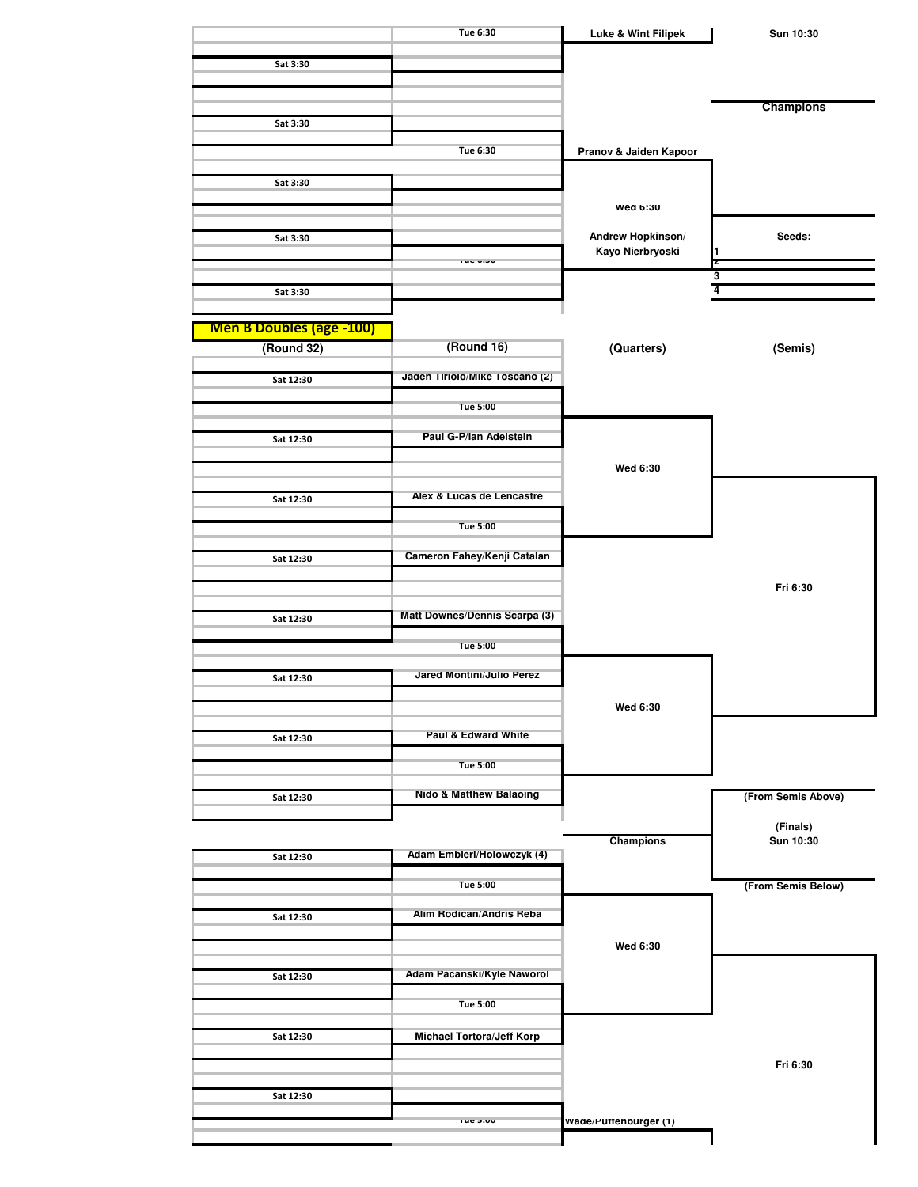|                                               | Tue 6:30                         | Luke & Wint Filipek    | Sun 10:30          |
|-----------------------------------------------|----------------------------------|------------------------|--------------------|
|                                               |                                  |                        |                    |
| Sat 3:30                                      |                                  |                        |                    |
|                                               |                                  |                        |                    |
| Sat 3:30                                      |                                  |                        | <b>Champions</b>   |
|                                               |                                  |                        |                    |
|                                               | Tue 6:30                         | Pranov & Jaiden Kapoor |                    |
| Sat 3:30                                      |                                  |                        |                    |
|                                               |                                  |                        |                    |
|                                               |                                  | wea b:30               |                    |
| Sat 3:30                                      |                                  | Andrew Hopkinson/      | Seeds:             |
|                                               | i wu utu                         | Kayo Nierbryoski       | 1<br>Z             |
|                                               |                                  |                        | $\frac{3}{4}$      |
| Sat 3:30                                      |                                  |                        |                    |
|                                               |                                  |                        |                    |
| <b>Men B Doubles (age -100)</b><br>(Round 32) | (Round 16)                       | (Quarters)             | (Semis)            |
|                                               |                                  |                        |                    |
| Sat 12:30                                     | Jaden Tiriolo/Mike Toscano (2)   |                        |                    |
|                                               | <b>Tue 5:00</b>                  |                        |                    |
|                                               |                                  |                        |                    |
| Sat 12:30                                     | Paul G-P/lan Adelstein           |                        |                    |
|                                               |                                  | Wed 6:30               |                    |
|                                               |                                  |                        |                    |
| Sat 12:30                                     | Alex & Lucas de Lencastre        |                        |                    |
|                                               | <b>Tue 5:00</b>                  |                        |                    |
|                                               |                                  |                        |                    |
| Sat 12:30                                     | Cameron Fahey/Kenji Catalan      |                        |                    |
|                                               |                                  |                        | Fri 6:30           |
|                                               |                                  |                        |                    |
| Sat 12:30                                     | Matt Downes/Dennis Scarpa (3)    |                        |                    |
|                                               | <b>Tue 5:00</b>                  |                        |                    |
|                                               |                                  |                        |                    |
| Sat 12:30                                     | Jared Montini/Julio Perez        |                        |                    |
|                                               |                                  | Wed 6:30               |                    |
|                                               |                                  |                        |                    |
| Sat 12:30                                     | Paul & Edward White              |                        |                    |
|                                               | <b>Tue 5:00</b>                  |                        |                    |
|                                               |                                  |                        |                    |
| Sat 12:30                                     | Nido & Matthew Balaoing          |                        | (From Semis Above) |
|                                               |                                  |                        | (Finals)           |
|                                               |                                  | Champions              | Sun 10:30          |
| Sat 12:30                                     | Adam Emblerl/Holowczyk (4)       |                        |                    |
|                                               | <b>Tue 5:00</b>                  |                        | (From Semis Below) |
|                                               | Alim Rodican/Andris Reba         |                        |                    |
| Sat 12:30                                     |                                  |                        |                    |
|                                               |                                  | Wed 6:30               |                    |
|                                               | Adam Pacanski/Kyle Naworol       |                        |                    |
| Sat 12:30                                     |                                  |                        |                    |
|                                               | <b>Tue 5:00</b>                  |                        |                    |
|                                               |                                  |                        |                    |
| Sat 12:30                                     | <b>Michael Tortora/Jeff Korp</b> |                        |                    |
|                                               |                                  |                        | Fri 6:30           |
|                                               |                                  |                        |                    |
| Sat 12:30                                     |                                  |                        |                    |
|                                               |                                  |                        |                    |
|                                               | rue p.uu                         | Wade/Puttenburger (1)  |                    |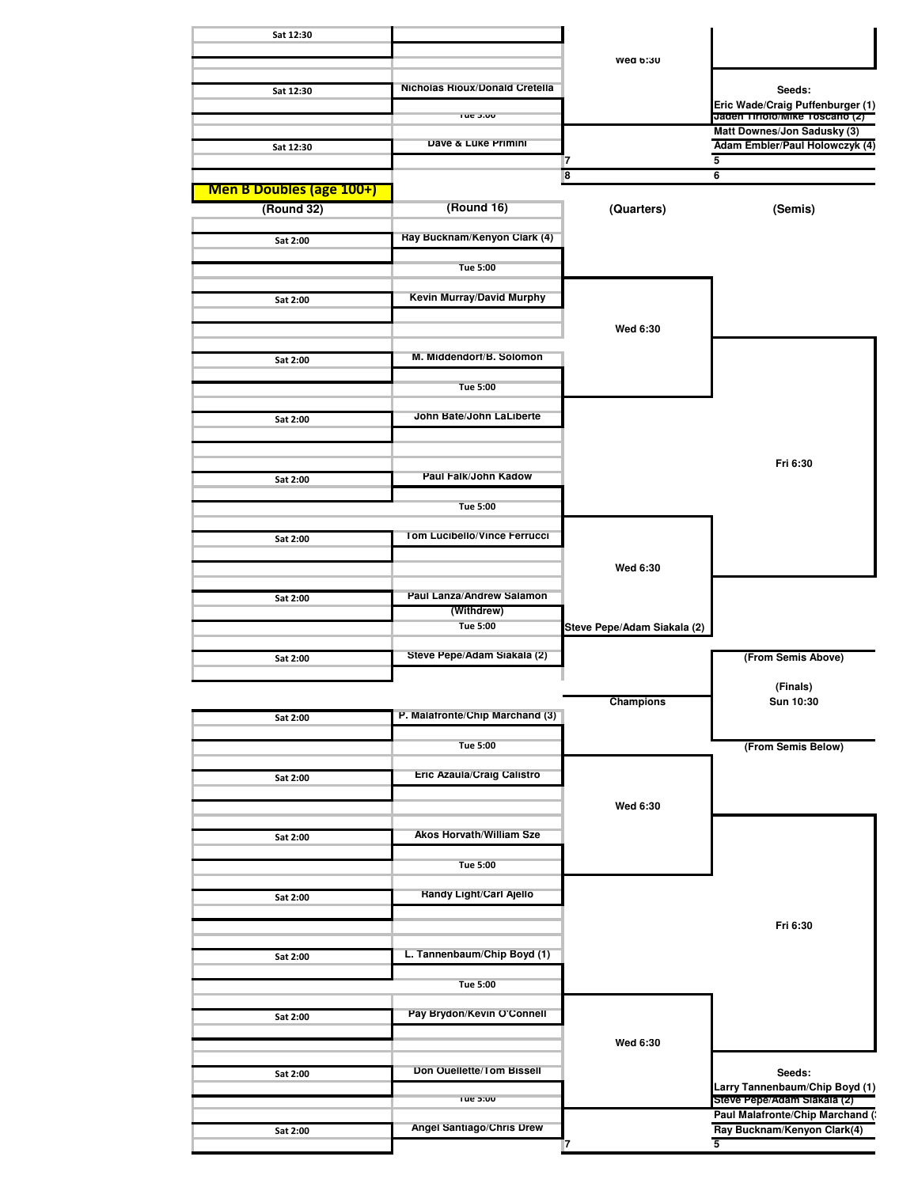| Sat 12:30                       |                                       |                             |                                                                |
|---------------------------------|---------------------------------------|-----------------------------|----------------------------------------------------------------|
|                                 |                                       | Wed 6:30                    |                                                                |
|                                 |                                       |                             |                                                                |
| Sat 12:30                       | <b>Nicholas Rioux/Donald Cretella</b> |                             | Seeds:<br>Eric Wade/Craig Puffenburger (1)                     |
|                                 | Tue 5:00                              |                             | Jaden Tiriolo/Mike Toscano (2)<br>Matt Downes/Jon Sadusky (3)  |
| Sat 12:30                       | Dave & Luke Primini                   |                             | Adam Embler/Paul Holowczyk (4)                                 |
|                                 |                                       | 7<br>8                      | 5<br>$6\overline{6}$                                           |
| <b>Men B Doubles (age 100+)</b> |                                       |                             |                                                                |
| (Round 32)                      | (Round 16)                            | (Quarters)                  | (Semis)                                                        |
| Sat 2:00                        | Ray Bucknam/Kenyon Clark (4)          |                             |                                                                |
|                                 | <b>Tue 5:00</b>                       |                             |                                                                |
|                                 | <b>Kevin Murray/David Murphy</b>      |                             |                                                                |
| Sat 2:00                        |                                       |                             |                                                                |
|                                 |                                       | Wed 6:30                    |                                                                |
| Sat 2:00                        | M. Middendorf/B. Solomon              |                             |                                                                |
|                                 | Tue 5:00                              |                             |                                                                |
|                                 |                                       |                             |                                                                |
| Sat 2:00                        | John Bate/John LaLiberte              |                             |                                                                |
|                                 |                                       |                             |                                                                |
| Sat 2:00                        | Paul Falk/John Kadow                  |                             | Fri 6:30                                                       |
|                                 | <b>Tue 5:00</b>                       |                             |                                                                |
|                                 |                                       |                             |                                                                |
| Sat 2:00                        | Tom Lucibello/Vince Ferrucci          |                             |                                                                |
|                                 |                                       | Wed 6:30                    |                                                                |
| Sat 2:00                        | Paul Lanza/Andrew Salamon             |                             |                                                                |
|                                 | (Withdrew)<br><b>Tue 5:00</b>         |                             |                                                                |
|                                 |                                       | Steve Pepe/Adam Siakala (2) |                                                                |
| Sat 2:00                        | Steve Pepe/Adam Siakala (2)           |                             | (From Semis Above)                                             |
|                                 |                                       |                             | (Finals)                                                       |
| Sat 2:00                        | P. Malafronte/Chip Marchand (3)       | Champions                   | Sun 10:30                                                      |
|                                 |                                       |                             |                                                                |
|                                 | <b>Tue 5:00</b>                       |                             | (From Semis Below)                                             |
| Sat 2:00                        | <b>Eric Azaula/Craig Calistro</b>     |                             |                                                                |
|                                 |                                       | Wed 6:30                    |                                                                |
| Sat 2:00                        | <b>Akos Horvath/William Sze</b>       |                             |                                                                |
|                                 |                                       |                             |                                                                |
|                                 | <b>Tue 5:00</b>                       |                             |                                                                |
| Sat 2:00                        | <b>Handy Light/Carl Ajello</b>        |                             |                                                                |
|                                 |                                       |                             | Fri 6:30                                                       |
| Sat 2:00                        | L. Tannenbaum/Chip Boyd (1)           |                             |                                                                |
|                                 |                                       |                             |                                                                |
|                                 | <b>Tue 5:00</b>                       |                             |                                                                |
| Sat 2:00                        | Pay Brydon/Kevin O'Connell            |                             |                                                                |
|                                 |                                       | Wed 6:30                    |                                                                |
| Sat 2:00                        | Don Ouellette/Tom Bissell             |                             | Seeds:                                                         |
|                                 | Tue 5:00                              |                             | Larry Tannenbaum/Chip Boyd (1)                                 |
|                                 |                                       |                             | Steve Pepe/Adam Slakala (2)<br>Paul Malafronte/Chip Marchand ( |
| Sat 2:00                        | Angel Santiago/Chris Drew             | 7                           | Ray Bucknam/Kenyon Clark(4)<br>5                               |
|                                 |                                       |                             |                                                                |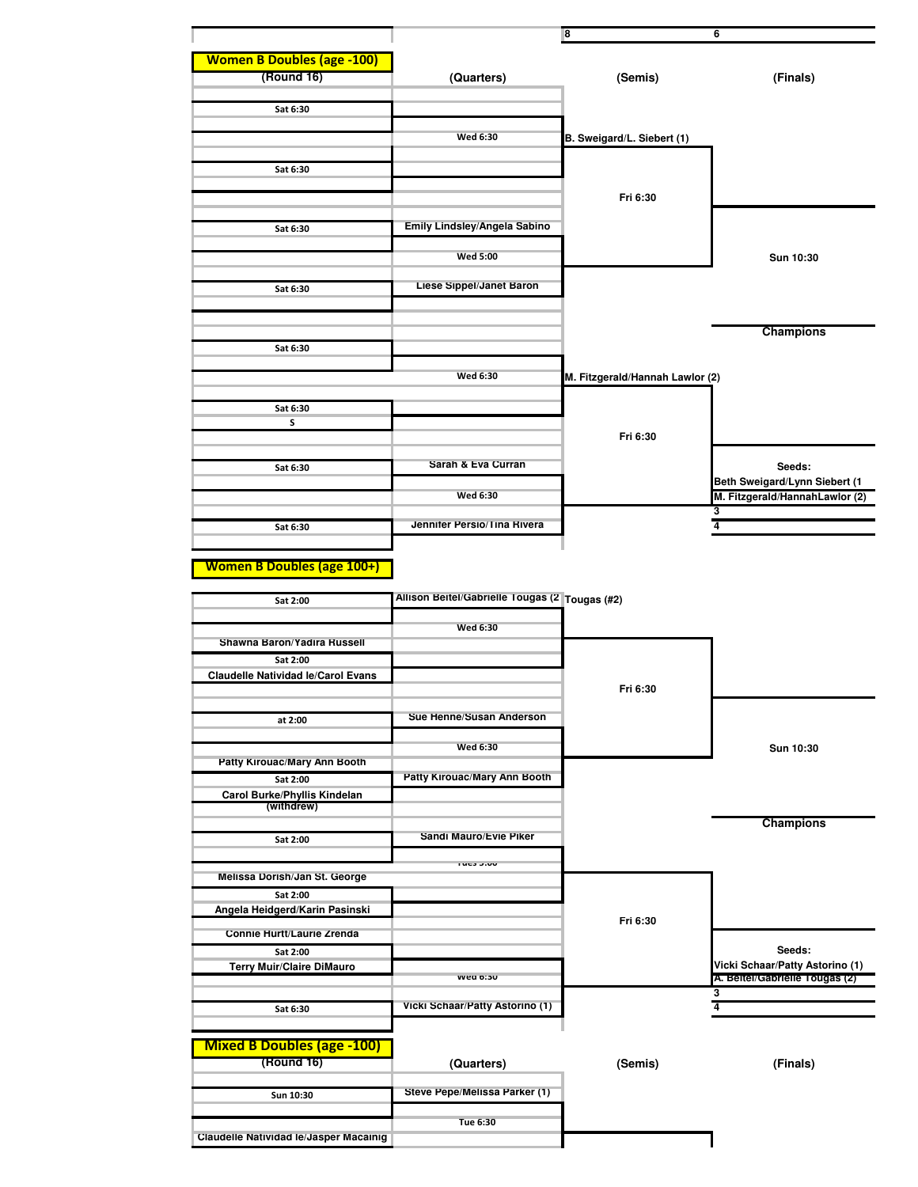|                                                       |                                                | 8                               | 6                                         |
|-------------------------------------------------------|------------------------------------------------|---------------------------------|-------------------------------------------|
|                                                       |                                                |                                 |                                           |
| <b>Women B Doubles (age -100)</b><br>(Round 16)       | (Quarters)                                     | (Semis)                         | (Finals)                                  |
|                                                       |                                                |                                 |                                           |
| Sat 6:30                                              |                                                |                                 |                                           |
|                                                       |                                                |                                 |                                           |
|                                                       | <b>Wed 6:30</b>                                | B. Sweigard/L. Siebert (1)      |                                           |
| Sat 6:30                                              |                                                |                                 |                                           |
|                                                       |                                                |                                 |                                           |
|                                                       |                                                | Fri 6:30                        |                                           |
| Sat 6:30                                              | Emily Lindsley/Angela Sabino                   |                                 |                                           |
|                                                       |                                                |                                 |                                           |
|                                                       | <b>Wed 5:00</b>                                |                                 | Sun 10:30                                 |
| Sat 6:30                                              | Liese Sippel/Janet Baron                       |                                 |                                           |
|                                                       |                                                |                                 |                                           |
|                                                       |                                                |                                 |                                           |
| Sat 6:30                                              |                                                |                                 | <b>Champions</b>                          |
|                                                       |                                                |                                 |                                           |
|                                                       | <b>Wed 6:30</b>                                | M. Fitzgerald/Hannah Lawlor (2) |                                           |
|                                                       |                                                |                                 |                                           |
| Sat 6:30<br>S                                         |                                                |                                 |                                           |
|                                                       |                                                | Fri 6:30                        |                                           |
|                                                       | Sarah & Eva Curran                             |                                 |                                           |
| Sat 6:30                                              |                                                |                                 | Seeds:<br>Beth Sweigard/Lynn Siebert (1   |
|                                                       | <b>Wed 6:30</b>                                |                                 | M. Fitzgerald/HannahLawlor (2)            |
|                                                       |                                                |                                 | 3                                         |
| Sat 6:30                                              | Jennifer Persio/Tina Rivera                    |                                 | $\overline{4}$                            |
|                                                       |                                                |                                 |                                           |
| <b>Women B Doubles (age 100+)</b>                     |                                                |                                 |                                           |
| Sat 2:00                                              | Allison Beitel/Gabrielle Tougas (2 Tougas (#2) |                                 |                                           |
|                                                       |                                                |                                 |                                           |
|                                                       | <b>Wed 6:30</b>                                |                                 |                                           |
| Shawna Baron/Yadıra Russell                           |                                                |                                 |                                           |
| Sat 2:00<br><b>Claudelle Natividad le/Carol Evans</b> |                                                |                                 |                                           |
|                                                       |                                                | Fri 6:30                        |                                           |
|                                                       | Sue Henne/Susan Anderson                       |                                 |                                           |
| at 2:00                                               |                                                |                                 |                                           |
|                                                       | Wed 6:30                                       |                                 | Sun 10:30                                 |
| Patty Kirouac/Mary Ann Booth                          |                                                |                                 |                                           |
| Sat 2:00                                              | <b>Patty Kirouac/Mary Ann Booth</b>            |                                 |                                           |
| Carol Burke/Phyllis Kindelan<br>(withdrew)            |                                                |                                 |                                           |
|                                                       |                                                |                                 | <b>Champions</b>                          |
| Sat 2:00                                              | Sandi Mauro/Evie Piker                         |                                 |                                           |
|                                                       | ruca aluu                                      |                                 |                                           |
| Melissa Dorish/Jan St. George                         |                                                |                                 |                                           |
| Sat 2:00<br>Angela Heidgerd/Karin Pasinski            |                                                |                                 |                                           |
|                                                       |                                                | Fri 6:30                        |                                           |
| Connie Hurtt/Laurie Zrenda                            |                                                |                                 |                                           |
| Sat 2:00<br><b>Terry Muir/Claire DiMauro</b>          |                                                |                                 | Seeds:<br>Vicki Schaar/Patty Astorino (1) |
|                                                       | wea o: su                                      |                                 | A. Beitei/Gabrielle Tougas (2)            |
| Sat 6:30                                              | Vicki Schaar/Patty Astorino (1)                |                                 | 3<br>4                                    |
|                                                       |                                                |                                 |                                           |
| <b>Mixed B Doubles (age -100)</b>                     |                                                |                                 |                                           |
| (Round 16)                                            | (Quarters)                                     | (Semis)                         | (Finals)                                  |
|                                                       |                                                |                                 |                                           |
| Sun 10:30                                             | Steve Pepe/Melissa Parker (1)                  |                                 |                                           |
|                                                       | Tue 6:30                                       |                                 |                                           |
| Claudelle Natividad le/Jasper Macainig                |                                                |                                 |                                           |
|                                                       |                                                |                                 |                                           |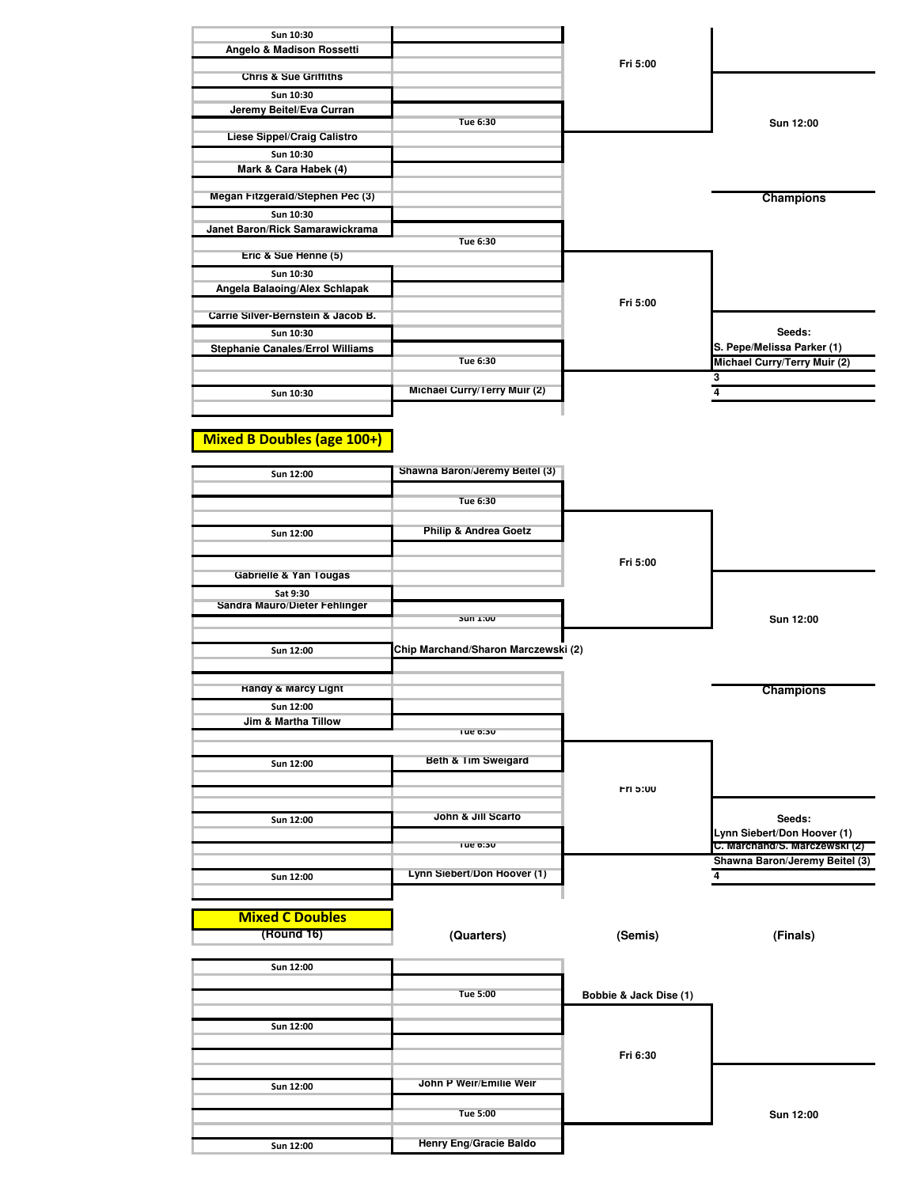| Fri 5:00                                                         |                              |
|------------------------------------------------------------------|------------------------------|
|                                                                  |                              |
|                                                                  |                              |
|                                                                  |                              |
|                                                                  | Sun 12:00                    |
|                                                                  |                              |
|                                                                  |                              |
|                                                                  |                              |
|                                                                  |                              |
|                                                                  | <b>Champions</b>             |
|                                                                  |                              |
|                                                                  |                              |
|                                                                  |                              |
|                                                                  |                              |
|                                                                  |                              |
|                                                                  |                              |
| Fri 5:00                                                         |                              |
|                                                                  |                              |
|                                                                  | Seeds:                       |
|                                                                  | S. Pepe/Melissa Parker (1)   |
|                                                                  | Michael Curry/Terry Muir (2) |
|                                                                  | 3                            |
|                                                                  | 4                            |
|                                                                  |                              |
| Tue 6:30<br>Tue 6:30<br>Tue 6:30<br>Michael Curry/Terry Muir (2) |                              |

## **Mixed B Doubles (age 100+)**

| Sun 12:00                            | Shawna Baron/Jeremy Beitel (3)      |                        |                                |
|--------------------------------------|-------------------------------------|------------------------|--------------------------------|
|                                      | Tue 6:30                            |                        |                                |
| Sun 12:00                            | <b>Philip &amp; Andrea Goetz</b>    |                        |                                |
|                                      |                                     |                        |                                |
| Gabrielle & Yan Tougas               |                                     | Fri 5:00               |                                |
| Sat 9:30                             |                                     |                        |                                |
| Sandra Mauro/Dieter Fehlinger        |                                     |                        |                                |
|                                      | <b>DUIL NU</b>                      |                        | Sun 12:00                      |
| Sun 12:00                            | Chip Marchand/Sharon Marczewski (2) |                        |                                |
| <b>Handy &amp; Marcy Light</b>       |                                     |                        | Champions                      |
| Sun 12:00                            |                                     |                        |                                |
| Jim & Martha Tillow                  |                                     |                        |                                |
|                                      | rue b:30                            |                        |                                |
| Sun 12:00                            | Beth & Tim Sweigard                 |                        |                                |
|                                      |                                     |                        |                                |
|                                      |                                     | Fri 5:00               |                                |
| Sun 12:00                            | John & Jill Scarfo                  |                        | Seeds:                         |
|                                      |                                     |                        | Lynn Siebert/Don Hoover (1)    |
|                                      | rue o: su                           |                        | C. Marchand/S. Marczewski (2)  |
|                                      |                                     |                        | Shawna Baron/Jeremy Beitel (3) |
| Sun 12:00                            | Lynn Siebert/Don Hoover (1)         |                        | 4                              |
|                                      |                                     |                        |                                |
| <b>Mixed C Doubles</b><br>(Round 16) |                                     |                        |                                |
|                                      | (Quarters)                          | (Semis)                | (Finals)                       |
| Sun 12:00                            |                                     |                        |                                |
|                                      |                                     |                        |                                |
|                                      | <b>Tue 5:00</b>                     | Bobbie & Jack Dise (1) |                                |
|                                      |                                     |                        |                                |
| Sun 12:00                            |                                     |                        |                                |
|                                      |                                     | Fri 6:30               |                                |
|                                      |                                     |                        |                                |
| Sun 12:00                            | John P Weir/Emilie Weir             |                        |                                |
|                                      |                                     |                        |                                |
|                                      | <b>Tue 5:00</b>                     |                        | Sun 12:00                      |
| Sun 12:00                            | Henry Eng/Gracie Baldo              |                        |                                |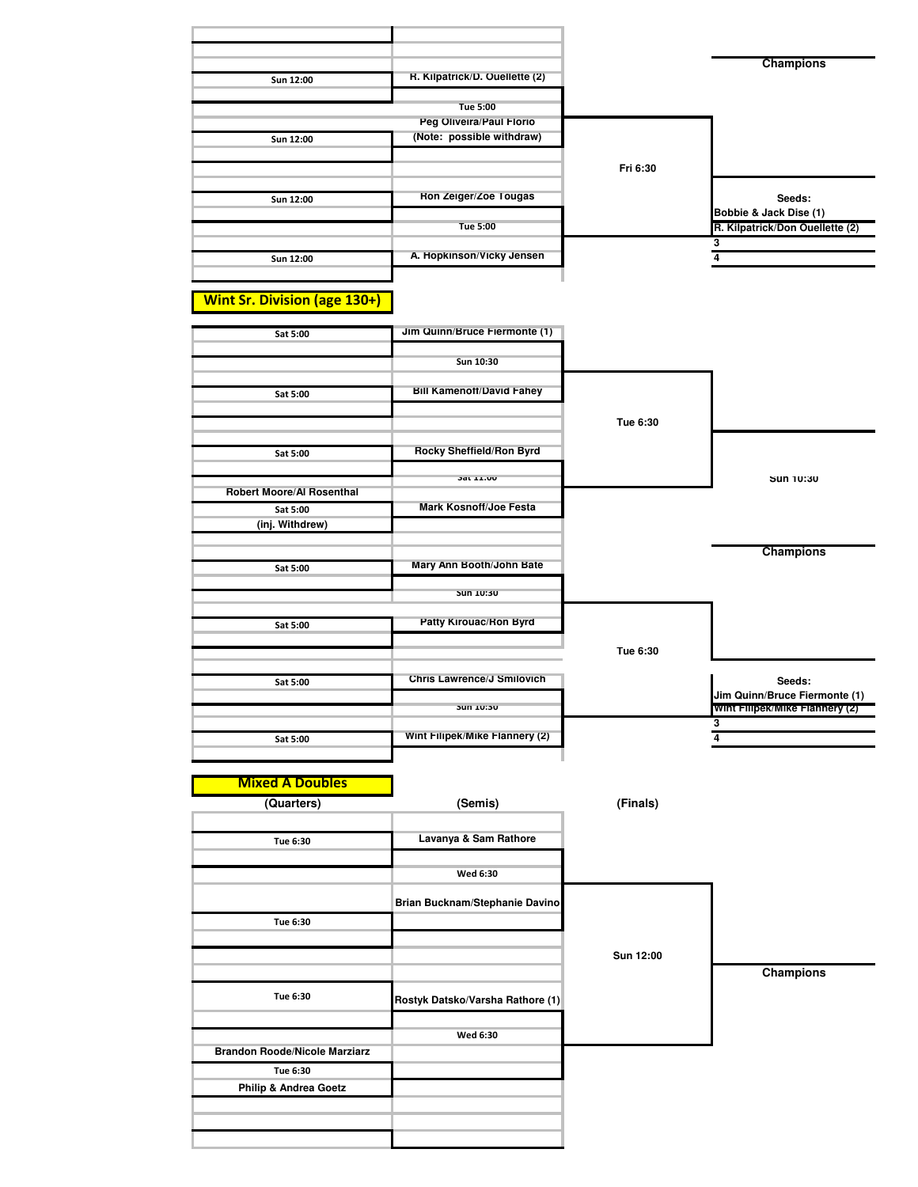|                                      |                                                       |           | <b>Champions</b>                                                |
|--------------------------------------|-------------------------------------------------------|-----------|-----------------------------------------------------------------|
| Sun 12:00                            | R. Kilpatrick/D. Ouellette (2)                        |           |                                                                 |
|                                      | <b>Tue 5:00</b>                                       |           |                                                                 |
| Sun 12:00                            | Peg Oliveira/Paul Florio<br>(Note: possible withdraw) |           |                                                                 |
|                                      |                                                       |           |                                                                 |
|                                      |                                                       | Fri 6:30  |                                                                 |
| Sun 12:00                            | Ron Zeiger/Zoe Tougas                                 |           | Seeds:<br>Bobbie & Jack Dise (1)                                |
|                                      | <b>Tue 5:00</b>                                       |           | R. Kilpatrick/Don Ouellette (2)                                 |
| Sun 12:00                            | A. Hopkinson/Vicky Jensen                             |           | 3<br>$\overline{4}$                                             |
|                                      |                                                       |           |                                                                 |
| <b>Wint Sr. Division (age 130+)</b>  |                                                       |           |                                                                 |
| Sat 5:00                             | Jim Quinn/Bruce Fiermonte (1)                         |           |                                                                 |
|                                      |                                                       |           |                                                                 |
|                                      | Sun 10:30                                             |           |                                                                 |
| Sat 5:00                             | <b>Bill Kamenoff/David Fahey</b>                      |           |                                                                 |
|                                      |                                                       | Tue 6:30  |                                                                 |
|                                      | Rocky Sheffield/Ron Byrd                              |           |                                                                 |
| Sat 5:00                             |                                                       |           |                                                                 |
| Robert Moore/Al Rosenthal            | 3dt 11.00                                             |           | Sun 10:30                                                       |
| Sat 5:00                             | <b>Mark Kosnoff/Joe Festa</b>                         |           |                                                                 |
| (inj. Withdrew)                      |                                                       |           |                                                                 |
|                                      | Mary Ann Booth/John Bate                              |           | <b>Champions</b>                                                |
| Sat 5:00                             |                                                       |           |                                                                 |
|                                      | UC:UL NU                                              |           |                                                                 |
| Sat 5:00                             | Patty Kirouac/Ron Byrd                                |           |                                                                 |
|                                      |                                                       | Tue 6:30  |                                                                 |
| Sat 5:00                             | Chris Lawrence/J Smilovich                            |           | Seeds:                                                          |
|                                      | Jun 10:30                                             |           | Jim Quinn/Bruce Fiermonte (1)<br>Wint Filipek/Mike Flannery (2) |
|                                      |                                                       |           | 3                                                               |
| Sat 5:00                             | Wint Filipek/Mike Flannery (2)                        |           | 4                                                               |
|                                      |                                                       |           |                                                                 |
| <b>Mixed A Doubles</b>               |                                                       |           |                                                                 |
| (Quarters)                           | (Semis)                                               | (Finals)  |                                                                 |
| Tue 6:30                             | Lavanya & Sam Rathore                                 |           |                                                                 |
|                                      |                                                       |           |                                                                 |
|                                      | Wed 6:30                                              |           |                                                                 |
|                                      | Brian Bucknam/Stephanie Davino                        |           |                                                                 |
| Tue 6:30                             |                                                       |           |                                                                 |
|                                      |                                                       | Sun 12:00 |                                                                 |
|                                      |                                                       |           | <b>Champions</b>                                                |
| Tue 6:30                             | Rostyk Datsko/Varsha Rathore (1)                      |           |                                                                 |
|                                      | Wed 6:30                                              |           |                                                                 |
| <b>Brandon Roode/Nicole Marziarz</b> |                                                       |           |                                                                 |
| Tue 6:30                             |                                                       |           |                                                                 |
| <b>Philip &amp; Andrea Goetz</b>     |                                                       |           |                                                                 |
|                                      |                                                       |           |                                                                 |
|                                      |                                                       |           |                                                                 |